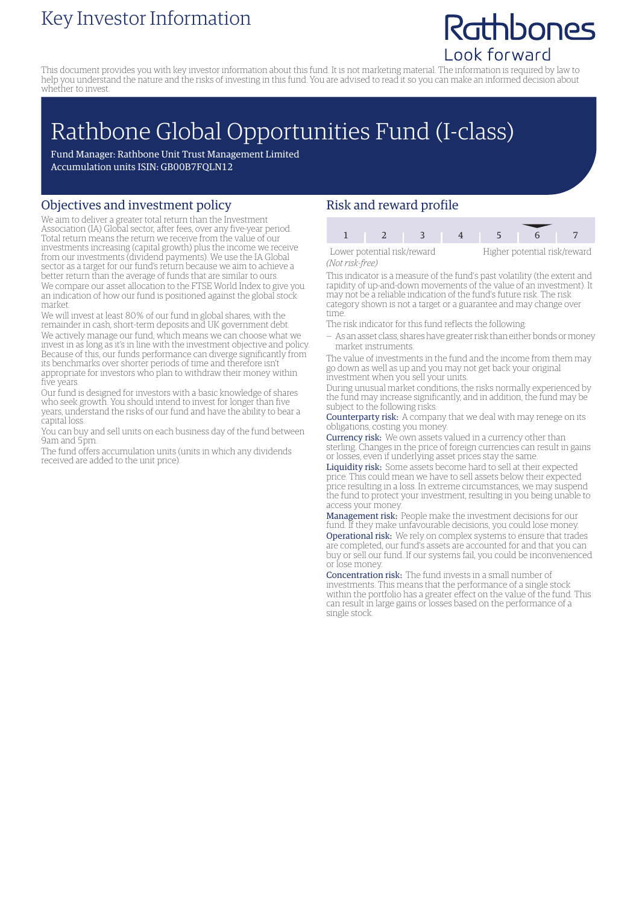### Key Investor Information

## Rathbones Look forward

This document provides you with key investor information about this fund. It is not marketing material. The information is required by law to help you understand the nature and the risks of investing in this fund. You are advised to read it so you can make an informed decision about whether to invest.

# Rathbone Global Opportunities Fund (I-class)

Fund Manager: Rathbone Unit Trust Management Limited Accumulation units ISIN: GB00B7FQLN12

#### Objectives and investment policy

We aim to deliver a greater total return than the Investment Association (IA) Global sector, after fees, over any five-year period. Total return means the return we receive from the value of our investments increasing (capital growth) plus the income we receive from our investments (dividend payments). We use the IA Global sector as a target for our fund's return because we aim to achieve a better return than the average of funds that are similar to ours. We compare our asset allocation to the FTSE World Index to give you an indication of how our fund is positioned against the global stock market.

We will invest at least 80% of our fund in global shares, with the remainder in cash, short-term deposits and UK government debt. We actively manage our fund, which means we can choose what we invest in as long as it's in line with the investment objective and policy. Because of this, our funds performance can diverge significantly from its benchmarks over shorter periods of time and therefore isn't appropriate for investors who plan to withdraw their money within five years.

Our fund is designed for investors with a basic knowledge of shares who seek growth. You should intend to invest for longer than five years, understand the risks of our fund and have the ability to bear a capital loss.

You can buy and sell units on each business day of the fund between 9am and 5pm.

The fund offers accumulation units (units in which any dividends received are added to the unit price).

#### Risk and reward profile

| Lower potential risk/reward |  |  | Higher potential risk/reward |  |  |  |
|-----------------------------|--|--|------------------------------|--|--|--|

*(Not risk-free)*

This indicator is a measure of the fund's past volatility (the extent and rapidity of up-and-down movements of the value of an investment). It may not be a reliable indication of the fund's future risk. The risk category shown is not a target or a guarantee and may change over time.

- The risk indicator for this fund reflects the following:
- As an asset class, shares have greater risk than either bonds ormoney market instruments.

The value of investments in the fund and the income from them may go down as well as up and you may not get back your original investment when you sell your units.

During unusual market conditions, the risks normally experienced by the fund may increase significantly, and in addition, the fund may be subject to the following risks:

Counterparty risk: A company that we deal with may renege on its obligations, costing you money.

Currency risk: We own assets valued in a currency other than sterling. Changes in the price of foreign currencies can result in gains or losses, even if underlying asset prices stay the same.

Liquidity risk: Some assets become hard to sell at their expected price. This could mean we have to sell assets below their expected price resulting in a loss. In extreme circumstances, we may suspend the fund to protect your investment, resulting in you being unable to access your money

Management risk: People make the investment decisions for our fund. If they make unfavourable decisions, you could lose money. Operational risk: We rely on complex systems to ensure that trades are completed, our fund's assets are accounted for and that you can buy or sell our fund. If our systems fail, you could be inconvenienced or lose money.

Concentration risk: The fund invests in a small number of investments. This means that the performance of a single stock within the portfolio has a greater effect on the value of the fund. This can result in large gains or losses based on the performance of a single stock.